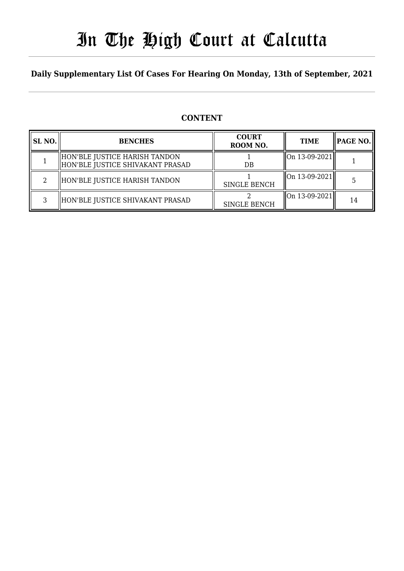# In The High Court at Calcutta

# **Daily Supplementary List Of Cases For Hearing On Monday, 13th of September, 2021**

### **CONTENT**

| <b>SL NO.</b> | <b>BENCHES</b>                                                    | <b>COURT</b><br>ROOM NO. | <b>TIME</b>                                            | PAGE NO. |
|---------------|-------------------------------------------------------------------|--------------------------|--------------------------------------------------------|----------|
|               | HON'BLE JUSTICE HARISH TANDON<br>HON'BLE JUSTICE SHIVAKANT PRASAD | DB                       | $\left\vert 0n13-09-2021\right\vert$                   |          |
|               | HON'BLE JUSTICE HARISH TANDON                                     | <b>SINGLE BENCH</b>      | On 13-09-2021                                          |          |
| ર             | HON'BLE JUSTICE SHIVAKANT PRASAD                                  | <b>SINGLE BENCH</b>      | $\left\  \text{On } 13\text{-}09\text{-}2021 \right\ $ | 14       |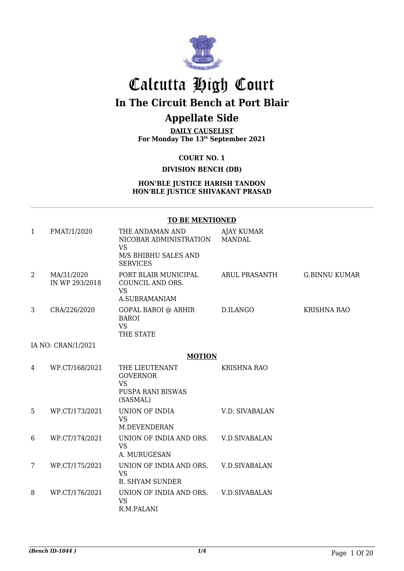

# Calcutta High Court

**In The Circuit Bench at Port Blair**

### **Appellate Side**

**DAILY CAUSELIST For Monday The 13th September 2021**

**COURT NO. 1**

### **DIVISION BENCH (DB)**

#### **HON'BLE JUSTICE HARISH TANDON HON'BLE JUSTICE SHIVAKANT PRASAD**

#### **TO BE MENTIONED**

| 1 | FMAT/1/2020                  | THE ANDAMAN AND<br>NICOBAR ADMINISTRATION<br><b>VS</b><br>M/S BHIBHU SALES AND<br><b>SERVICES</b> | <b>AJAY KUMAR</b><br><b>MANDAL</b> |                      |
|---|------------------------------|---------------------------------------------------------------------------------------------------|------------------------------------|----------------------|
| 2 | MA/31/2020<br>IN WP 293/2018 | PORT BLAIR MUNICIPAL<br>COUNCIL AND ORS.<br><b>VS</b><br>A.SUBRAMANIAM                            | ARUL PRASANTH                      | <b>G.BINNU KUMAR</b> |
| 3 | CRA/226/2020                 | <b>GOPAL BAROI @ ABHIR</b><br><b>BAROI</b><br><b>VS</b><br>THE STATE                              | D.ILANGO                           | <b>KRISHNA RAO</b>   |
|   | IA NO: CRAN/1/2021           |                                                                                                   |                                    |                      |
|   |                              | <b>MOTION</b>                                                                                     |                                    |                      |
| 4 | WP.CT/168/2021               | THE LIEUTENANT<br><b>GOVERNOR</b><br><b>VS</b><br>PUSPA RANI BISWAS<br>(SASMAL)                   | <b>KRISHNA RAO</b>                 |                      |
| 5 | WP.CT/173/2021               | UNION OF INDIA<br><b>VS</b><br>M.DEVENDERAN                                                       | V.D. SIVABALAN                     |                      |
| 6 | WP.CT/174/2021               | UNION OF INDIA AND ORS.<br><b>VS</b><br>A. MURUGESAN                                              | <b>V.D.SIVABALAN</b>               |                      |
| 7 | WP.CT/175/2021               | UNION OF INDIA AND ORS.<br><b>VS</b><br><b>B. SHYAM SUNDER</b>                                    | <b>V.D.SIVABALAN</b>               |                      |
| 8 | WP.CT/176/2021               | UNION OF INDIA AND ORS.<br><b>VS</b><br>R.M.PALANI                                                | V.D.SIVABALAN                      |                      |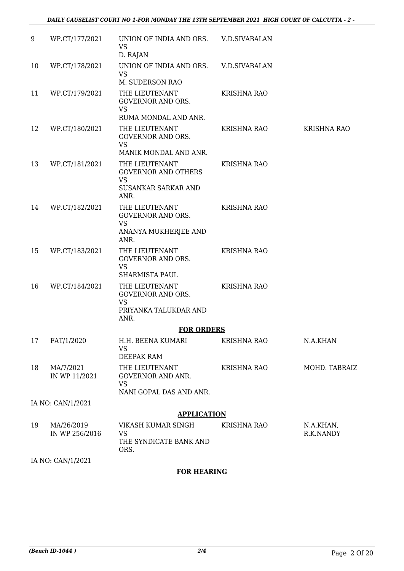### *DAILY CAUSELIST COURT NO 1-FOR MONDAY THE 13TH SEPTEMBER 2021 HIGH COURT OF CALCUTTA - 2 -*

| 9  | WP.CT/177/2021             | UNION OF INDIA AND ORS. V.D.SIVABALAN<br><b>VS</b>                                              |                      |                    |
|----|----------------------------|-------------------------------------------------------------------------------------------------|----------------------|--------------------|
| 10 | WP.CT/178/2021             | D. RAJAN<br>UNION OF INDIA AND ORS.<br><b>VS</b>                                                | <b>V.D.SIVABALAN</b> |                    |
|    |                            | M. SUDERSON RAO                                                                                 |                      |                    |
| 11 | WP.CT/179/2021             | THE LIEUTENANT<br><b>GOVERNOR AND ORS.</b><br><b>VS</b><br>RUMA MONDAL AND ANR.                 | <b>KRISHNA RAO</b>   |                    |
| 12 | WP.CT/180/2021             | THE LIEUTENANT<br><b>GOVERNOR AND ORS.</b><br><b>VS</b><br>MANIK MONDAL AND ANR.                | <b>KRISHNA RAO</b>   | <b>KRISHNA RAO</b> |
| 13 | WP.CT/181/2021             | THE LIEUTENANT<br><b>GOVERNOR AND OTHERS</b><br><b>VS</b><br><b>SUSANKAR SARKAR AND</b><br>ANR. | <b>KRISHNA RAO</b>   |                    |
| 14 | WP.CT/182/2021             | THE LIEUTENANT<br><b>GOVERNOR AND ORS.</b><br><b>VS</b><br>ANANYA MUKHERJEE AND<br>ANR.         | <b>KRISHNA RAO</b>   |                    |
| 15 | WP.CT/183/2021             | THE LIEUTENANT<br><b>GOVERNOR AND ORS.</b><br><b>VS</b><br><b>SHARMISTA PAUL</b>                | <b>KRISHNA RAO</b>   |                    |
| 16 | WP.CT/184/2021             | THE LIEUTENANT<br><b>GOVERNOR AND ORS.</b><br><b>VS</b><br>PRIYANKA TALUKDAR AND<br>ANR.        | <b>KRISHNA RAO</b>   |                    |
|    |                            | <b>FOR ORDERS</b>                                                                               |                      |                    |
| 17 | FAT/1/2020                 | H.H. BEENA KUMARI<br><b>VS</b><br>DEEPAK RAM                                                    | <b>KRISHNA RAO</b>   | N.A.KHAN           |
| 18 | MA/7/2021<br>IN WP 11/2021 | THE LIEUTENANT<br>GOVERNOR AND ANR.<br><b>VS</b><br>NANI GOPAL DAS AND ANR.                     | <b>KRISHNA RAO</b>   | MOHD. TABRAIZ      |
|    | IA NO: CAN/1/2021          |                                                                                                 |                      |                    |
|    |                            | <b>APPLICATION</b>                                                                              |                      |                    |
| 19 | MA/26/2019                 | VIKASH KUMAR SINGH                                                                              | KRISHNA RAO          | N.A.KHAN,          |
|    | IN WP 256/2016             | <b>VS</b><br>THE SYNDICATE BANK AND<br>ORS.                                                     |                      | R.K.NANDY          |
|    | IA NO: CAN/1/2021          |                                                                                                 |                      |                    |

### **FOR HEARING**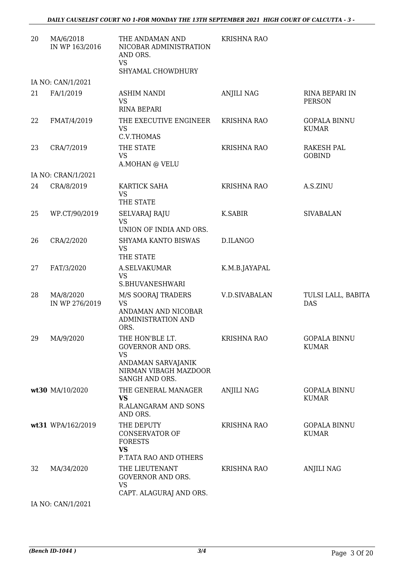| 20 | MA/6/2018<br>IN WP 163/2016 | THE ANDAMAN AND<br>NICOBAR ADMINISTRATION<br>AND ORS.<br><b>VS</b>                                                        | <b>KRISHNA RAO</b>   |                                     |
|----|-----------------------------|---------------------------------------------------------------------------------------------------------------------------|----------------------|-------------------------------------|
|    |                             | SHYAMAL CHOWDHURY                                                                                                         |                      |                                     |
|    | IA NO: CAN/1/2021           |                                                                                                                           |                      |                                     |
| 21 | FA/1/2019                   | <b>ASHIM NANDI</b><br><b>VS</b><br><b>RINA BEPARI</b>                                                                     | <b>ANJILI NAG</b>    | RINA BEPARI IN<br><b>PERSON</b>     |
| 22 | FMAT/4/2019                 | THE EXECUTIVE ENGINEER<br><b>VS</b><br>C.V.THOMAS                                                                         | <b>KRISHNA RAO</b>   | <b>GOPALA BINNU</b><br><b>KUMAR</b> |
| 23 | CRA/7/2019                  | THE STATE<br><b>VS</b><br>A.MOHAN @ VELU                                                                                  | <b>KRISHNA RAO</b>   | <b>RAKESH PAL</b><br><b>GOBIND</b>  |
|    | IA NO: CRAN/1/2021          |                                                                                                                           |                      |                                     |
| 24 | CRA/8/2019                  | KARTICK SAHA<br><b>VS</b><br>THE STATE                                                                                    | <b>KRISHNA RAO</b>   | A.S.ZINU                            |
| 25 | WP.CT/90/2019               | <b>SELVARAJ RAJU</b><br><b>VS</b><br>UNION OF INDIA AND ORS.                                                              | K.SABIR              | <b>SIVABALAN</b>                    |
| 26 | CRA/2/2020                  | SHYAMA KANTO BISWAS<br><b>VS</b><br>THE STATE                                                                             | D.ILANGO             |                                     |
| 27 | FAT/3/2020                  | A.SELVAKUMAR<br><b>VS</b><br>S.BHUVANESHWARI                                                                              | K.M.B.JAYAPAL        |                                     |
| 28 | MA/8/2020<br>IN WP 276/2019 | M/S SOORAJ TRADERS<br><b>VS</b><br>ANDAMAN AND NICOBAR<br>ADMINISTRATION AND<br>ORS.                                      | <b>V.D.SIVABALAN</b> | TULSI LALL, BABITA<br><b>DAS</b>    |
|    | 29 MA/9/2020                | THE HON'BLE LT.<br><b>GOVERNOR AND ORS.</b><br><b>VS</b><br>ANDAMAN SARVAJANIK<br>NIRMAN VIBAGH MAZDOOR<br>SANGH AND ORS. | <b>KRISHNA RAO</b>   | <b>GOPALA BINNU</b><br><b>KUMAR</b> |
|    | wt30 MA/10/2020             | THE GENERAL MANAGER<br><b>VS</b><br>R.ALANGARAM AND SONS<br>AND ORS.                                                      | <b>ANJILI NAG</b>    | <b>GOPALA BINNU</b><br><b>KUMAR</b> |
|    | wt31 WPA/162/2019           | THE DEPUTY<br><b>CONSERVATOR OF</b><br><b>FORESTS</b><br><b>VS</b>                                                        | <b>KRISHNA RAO</b>   | <b>GOPALA BINNU</b><br><b>KUMAR</b> |
| 32 | MA/34/2020                  | P.TATA RAO AND OTHERS<br>THE LIEUTENANT<br><b>GOVERNOR AND ORS.</b><br><b>VS</b><br>CAPT. ALAGURAJ AND ORS.               | <b>KRISHNA RAO</b>   | <b>ANJILI NAG</b>                   |

IA NO: CAN/1/2021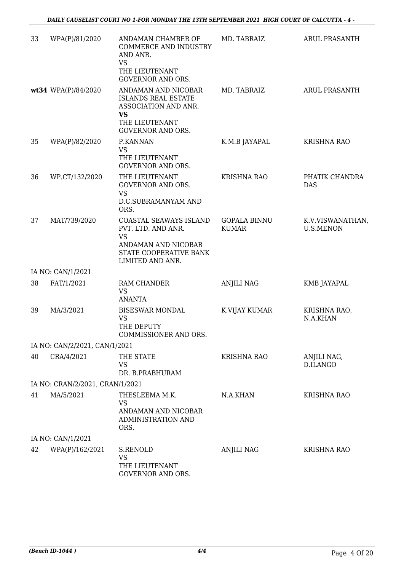| 33 | WPA(P)/81/2020                  | ANDAMAN CHAMBER OF<br><b>COMMERCE AND INDUSTRY</b><br>AND ANR.<br><b>VS</b><br>THE LIEUTENANT<br><b>GOVERNOR AND ORS.</b>            | MD. TABRAIZ                         | <b>ARUL PRASANTH</b>                 |
|----|---------------------------------|--------------------------------------------------------------------------------------------------------------------------------------|-------------------------------------|--------------------------------------|
|    | wt34 WPA(P)/84/2020             | ANDAMAN AND NICOBAR<br><b>ISLANDS REAL ESTATE</b><br>ASSOCIATION AND ANR.<br><b>VS</b><br>THE LIEUTENANT<br><b>GOVERNOR AND ORS.</b> | MD. TABRAIZ                         | ARUL PRASANTH                        |
| 35 | WPA(P)/82/2020                  | P.KANNAN<br>VS<br>THE LIEUTENANT<br><b>GOVERNOR AND ORS.</b>                                                                         | K.M.B JAYAPAL                       | <b>KRISHNA RAO</b>                   |
| 36 | WP.CT/132/2020                  | THE LIEUTENANT<br><b>GOVERNOR AND ORS.</b><br><b>VS</b><br>D.C.SUBRAMANYAM AND<br>ORS.                                               | <b>KRISHNA RAO</b>                  | PHATIK CHANDRA<br><b>DAS</b>         |
| 37 | MAT/739/2020                    | COASTAL SEAWAYS ISLAND<br>PVT. LTD. AND ANR.<br><b>VS</b><br>ANDAMAN AND NICOBAR<br>STATE COOPERATIVE BANK<br>LIMITED AND ANR.       | <b>GOPALA BINNU</b><br><b>KUMAR</b> | K.V.VISWANATHAN,<br><b>U.S.MENON</b> |
|    | IA NO: CAN/1/2021               |                                                                                                                                      |                                     |                                      |
| 38 | FAT/1/2021                      | <b>RAM CHANDER</b><br><b>VS</b><br><b>ANANTA</b>                                                                                     | <b>ANJILI NAG</b>                   | KMB JAYAPAL                          |
| 39 | MA/3/2021                       | <b>BISESWAR MONDAL</b><br><b>VS</b><br>THE DEPUTY<br>COMMISSIONER AND ORS.                                                           | K.VIJAY KUMAR                       | KRISHNA RAO,<br>N.A.KHAN             |
|    | IA NO: CAN/2/2021, CAN/1/2021   |                                                                                                                                      |                                     |                                      |
| 40 | CRA/4/2021                      | THE STATE<br><b>VS</b><br>DR. B.PRABHURAM                                                                                            | <b>KRISHNA RAO</b>                  | ANJILI NAG,<br>D.ILANGO              |
|    | IA NO: CRAN/2/2021, CRAN/1/2021 |                                                                                                                                      |                                     |                                      |
| 41 | MA/5/2021                       | THESLEEMA M.K.<br><b>VS</b><br>ANDAMAN AND NICOBAR<br>ADMINISTRATION AND<br>ORS.                                                     | N.A.KHAN                            | <b>KRISHNA RAO</b>                   |
|    | IA NO: CAN/1/2021               |                                                                                                                                      |                                     |                                      |
| 42 | WPA(P)/162/2021                 | S.RENOLD<br><b>VS</b><br>THE LIEUTENANT<br>COVERNOR AND ORS                                                                          | <b>ANJILI NAG</b>                   | <b>KRISHNA RAO</b>                   |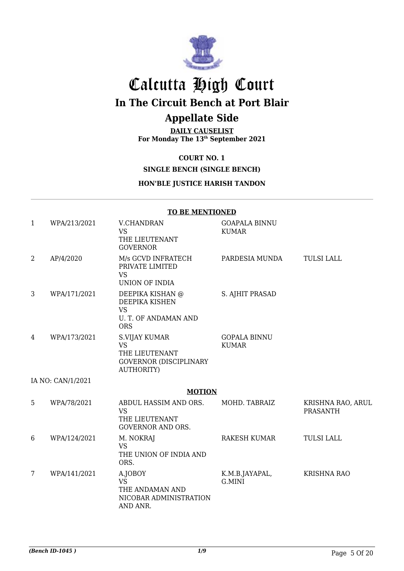

# Calcutta High Court **In The Circuit Bench at Port Blair**

# **Appellate Side**

**DAILY CAUSELIST For Monday The 13th September 2021**

### **COURT NO. 1**

### **SINGLE BENCH (SINGLE BENCH)**

### **HON'BLE JUSTICE HARISH TANDON**

|   |                   | <b>TO BE MENTIONED</b>                                                                             |                                      |                                      |
|---|-------------------|----------------------------------------------------------------------------------------------------|--------------------------------------|--------------------------------------|
| 1 | WPA/213/2021      | V.CHANDRAN<br><b>VS</b><br>THE LIEUTENANT<br><b>GOVERNOR</b>                                       | <b>GOAPALA BINNU</b><br><b>KUMAR</b> |                                      |
| 2 | AP/4/2020         | M/s GCVD INFRATECH<br>PRIVATE LIMITED<br><b>VS</b><br><b>UNION OF INDIA</b>                        | PARDESIA MUNDA                       | <b>TULSI LALL</b>                    |
| 3 | WPA/171/2021      | DEEPIKA KISHAN @<br>DEEPIKA KISHEN<br><b>VS</b><br>U. T. OF ANDAMAN AND<br><b>ORS</b>              | S. AJHIT PRASAD                      |                                      |
| 4 | WPA/173/2021      | S.VIJAY KUMAR<br><b>VS</b><br>THE LIEUTENANT<br><b>GOVERNOR (DISCIPLINARY</b><br><b>AUTHORITY)</b> | <b>GOPALA BINNU</b><br><b>KUMAR</b>  |                                      |
|   | IA NO: CAN/1/2021 |                                                                                                    |                                      |                                      |
|   |                   | <b>MOTION</b>                                                                                      |                                      |                                      |
| 5 | WPA/78/2021       | ABDUL HASSIM AND ORS.<br><b>VS</b><br>THE LIEUTENANT<br><b>GOVERNOR AND ORS.</b>                   | MOHD. TABRAIZ                        | KRISHNA RAO, ARUL<br><b>PRASANTH</b> |
| 6 | WPA/124/2021      | M. NOKRAJ<br><b>VS</b><br>THE UNION OF INDIA AND<br>ORS.                                           | <b>RAKESH KUMAR</b>                  | <b>TULSI LALL</b>                    |
| 7 | WPA/141/2021      | A.JOBOY<br><b>VS</b><br>THE ANDAMAN AND<br>NICOBAR ADMINISTRATION<br>AND ANR.                      | K.M.B.JAYAPAL,<br>G.MINI             | <b>KRISHNA RAO</b>                   |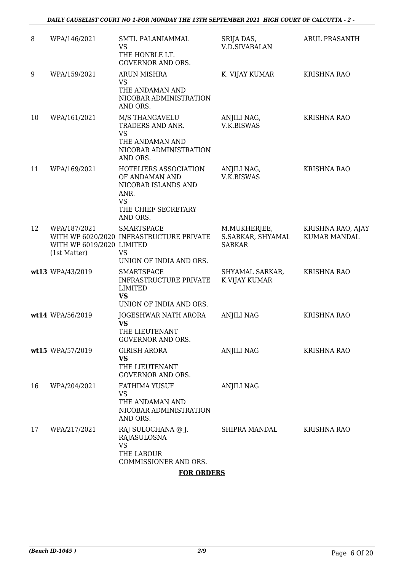| 8  | WPA/146/2021                                              | SMTI. PALANIAMMAL<br>VS<br>THE HONBLE LT.<br><b>GOVERNOR AND ORS.</b>                                                  | SRIJA DAS,<br><b>V.D.SIVABALAN</b>                 | ARUL PRASANTH                            |
|----|-----------------------------------------------------------|------------------------------------------------------------------------------------------------------------------------|----------------------------------------------------|------------------------------------------|
| 9  | WPA/159/2021                                              | <b>ARUN MISHRA</b><br><b>VS</b><br>THE ANDAMAN AND<br>NICOBAR ADMINISTRATION<br>AND ORS.                               | K. VIJAY KUMAR                                     | <b>KRISHNA RAO</b>                       |
| 10 | WPA/161/2021                                              | M/S THANGAVELU<br>TRADERS AND ANR.<br><b>VS</b><br>THE ANDAMAN AND<br>NICOBAR ADMINISTRATION<br>AND ORS.               | ANJILI NAG,<br>V.K.BISWAS                          | <b>KRISHNA RAO</b>                       |
| 11 | WPA/169/2021                                              | HOTELIERS ASSOCIATION<br>OF ANDAMAN AND<br>NICOBAR ISLANDS AND<br>ANR.<br><b>VS</b><br>THE CHIEF SECRETARY<br>AND ORS. | ANJILI NAG,<br>V.K.BISWAS                          | <b>KRISHNA RAO</b>                       |
| 12 | WPA/187/2021<br>WITH WP 6019/2020 LIMITED<br>(1st Matter) | <b>SMARTSPACE</b><br>WITH WP 6020/2020 INFRASTRUCTURE PRIVATE<br><b>VS</b><br>UNION OF INDIA AND ORS.                  | M.MUKHERJEE,<br>S.SARKAR, SHYAMAL<br><b>SARKAR</b> | KRISHNA RAO, AJAY<br><b>KUMAR MANDAL</b> |
|    | wt13 WPA/43/2019                                          | <b>SMARTSPACE</b><br><b>INFRASTRUCTURE PRIVATE</b><br><b>LIMITED</b><br><b>VS</b><br>UNION OF INDIA AND ORS.           | SHYAMAL SARKAR,<br>K.VIJAY KUMAR                   | <b>KRISHNA RAO</b>                       |
|    | wt14 WPA/56/2019                                          | JOGESHWAR NATH ARORA<br><b>VS</b><br>THE LIEUTENANT<br><b>GOVERNOR AND ORS.</b>                                        | <b>ANJILI NAG</b>                                  | <b>KRISHNA RAO</b>                       |
|    | wt15 WPA/57/2019                                          | <b>GIRISH ARORA</b><br><b>VS</b><br>THE LIEUTENANT<br><b>GOVERNOR AND ORS.</b>                                         | ANJILI NAG                                         | <b>KRISHNA RAO</b>                       |
| 16 | WPA/204/2021                                              | <b>FATHIMA YUSUF</b><br><b>VS</b><br>THE ANDAMAN AND<br>NICOBAR ADMINISTRATION<br>AND ORS.                             | <b>ANJILI NAG</b>                                  |                                          |
| 17 | WPA/217/2021                                              | RAJ SULOCHANA @ J.<br>RAJASULOSNA<br><b>VS</b><br>THE LABOUR<br>COMMISSIONER AND ORS.                                  | SHIPRA MANDAL                                      | KRISHNA RAO                              |

**FOR ORDERS**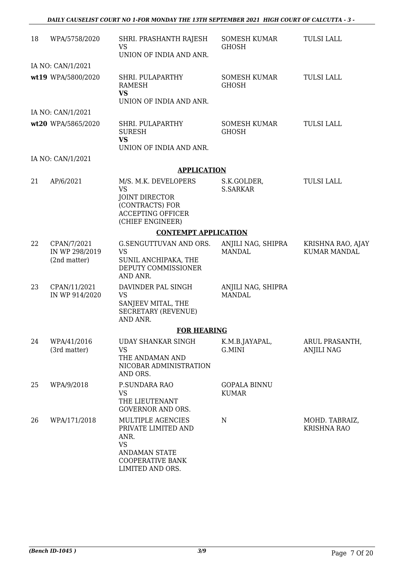| 18 | WPA/5758/2020                                 | SHRI. PRASHANTH RAJESH<br><b>VS</b><br>UNION OF INDIA AND ANR.                                                                       | <b>SOMESH KUMAR</b><br><b>GHOSH</b> | <b>TULSI LALL</b>                        |
|----|-----------------------------------------------|--------------------------------------------------------------------------------------------------------------------------------------|-------------------------------------|------------------------------------------|
|    | IA NO: CAN/1/2021                             |                                                                                                                                      |                                     |                                          |
|    | wt19 WPA/5800/2020                            | SHRI. PULAPARTHY<br>RAMESH<br><b>VS</b><br>UNION OF INDIA AND ANR.                                                                   | SOMESH KUMAR<br><b>GHOSH</b>        | <b>TULSI LALL</b>                        |
|    | IA NO: CAN/1/2021                             |                                                                                                                                      |                                     |                                          |
|    | wt20 WPA/5865/2020                            | SHRI. PULAPARTHY<br><b>SURESH</b><br><b>VS</b><br>UNION OF INDIA AND ANR.                                                            | SOMESH KUMAR<br><b>GHOSH</b>        | <b>TULSI LALL</b>                        |
|    | IA NO: CAN/1/2021                             |                                                                                                                                      |                                     |                                          |
|    |                                               | <b>APPLICATION</b>                                                                                                                   |                                     |                                          |
| 21 | AP/6/2021                                     | M/S. M.K. DEVELOPERS<br><b>VS</b><br><b>JOINT DIRECTOR</b><br>(CONTRACTS) FOR<br><b>ACCEPTING OFFICER</b><br>(CHIEF ENGINEER)        | S.K.GOLDER,<br><b>S.SARKAR</b>      | <b>TULSI LALL</b>                        |
|    |                                               | <b>CONTEMPT APPLICATION</b>                                                                                                          |                                     |                                          |
| 22 | CPAN/7/2021<br>IN WP 298/2019<br>(2nd matter) | G.SENGUTTUVAN AND ORS.<br><b>VS</b><br>SUNIL ANCHIPAKA, THE<br>DEPUTY COMMISSIONER<br>AND ANR.                                       | ANJILI NAG, SHIPRA<br><b>MANDAL</b> | KRISHNA RAO, AJAY<br><b>KUMAR MANDAL</b> |
| 23 | CPAN/11/2021<br>IN WP 914/2020                | DAVINDER PAL SINGH<br><b>VS</b><br>SANJEEV MITAL, THE<br><b>SECRETARY (REVENUE)</b><br>AND ANR.                                      | ANJILI NAG, SHIPRA<br><b>MANDAL</b> |                                          |
|    |                                               | <b>FOR HEARING</b>                                                                                                                   |                                     |                                          |
| 24 | WPA/41/2016<br>(3rd matter)                   | <b>UDAY SHANKAR SINGH</b><br><b>VS</b><br>THE ANDAMAN AND<br>NICOBAR ADMINISTRATION<br>AND ORS.                                      | K.M.B.JAYAPAL,<br>G.MINI            | ARUL PRASANTH,<br><b>ANJILI NAG</b>      |
| 25 | WPA/9/2018                                    | P.SUNDARA RAO<br>VS<br>THE LIEUTENANT<br><b>GOVERNOR AND ORS.</b>                                                                    | <b>GOPALA BINNU</b><br><b>KUMAR</b> |                                          |
| 26 | WPA/171/2018                                  | MULTIPLE AGENCIES<br>PRIVATE LIMITED AND<br>ANR.<br><b>VS</b><br><b>ANDAMAN STATE</b><br><b>COOPERATIVE BANK</b><br>LIMITED AND ORS. | ${\bf N}$                           | MOHD. TABRAIZ,<br><b>KRISHNA RAO</b>     |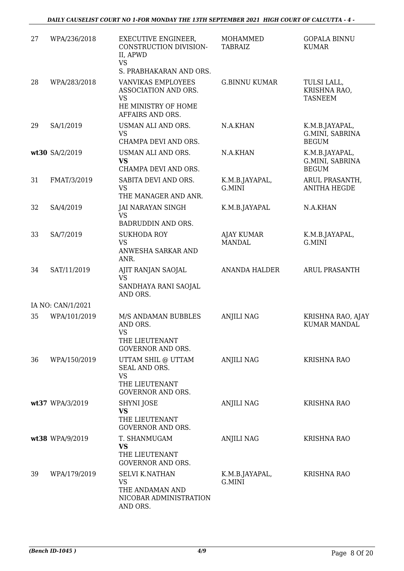| 27 | WPA/236/2018      | <b>EXECUTIVE ENGINEER,</b><br>CONSTRUCTION DIVISION-<br>II, APWD                               | <b>MOHAMMED</b><br><b>TABRAIZ</b> | <b>GOPALA BINNU</b><br><b>KUMAR</b>               |
|----|-------------------|------------------------------------------------------------------------------------------------|-----------------------------------|---------------------------------------------------|
|    |                   | <b>VS</b><br>S. PRABHAKARAN AND ORS.                                                           |                                   |                                                   |
| 28 | WPA/283/2018      | VANVIKAS EMPLOYEES<br>ASSOCIATION AND ORS.<br>VS<br>HE MINISTRY OF HOME<br>AFFAIRS AND ORS.    | <b>G.BINNU KUMAR</b>              | TULSI LALL,<br>KRISHNA RAO,<br><b>TASNEEM</b>     |
| 29 | SA/1/2019         | USMAN ALI AND ORS.<br><b>VS</b><br>CHAMPA DEVI AND ORS.                                        | N.A.KHAN                          | K.M.B.JAYAPAL,<br>G.MINI, SABRINA<br><b>BEGUM</b> |
|    | wt30 SA/2/2019    | USMAN ALI AND ORS.<br><b>VS</b><br>CHAMPA DEVI AND ORS.                                        | N.A.KHAN                          | K.M.B.JAYAPAL,<br>G.MINI, SABRINA<br><b>BEGUM</b> |
| 31 | FMAT/3/2019       | SABITA DEVI AND ORS.<br><b>VS</b><br>THE MANAGER AND ANR.                                      | K.M.B.JAYAPAL,<br>G.MINI          | ARUL PRASANTH,<br><b>ANITHA HEGDE</b>             |
| 32 | SA/4/2019         | JAI NARAYAN SINGH<br><b>VS</b><br>BADRUDDIN AND ORS.                                           | K.M.B.JAYAPAL                     | N.A.KHAN                                          |
| 33 | SA/7/2019         | <b>SUKHODA ROY</b><br><b>VS</b><br>ANWESHA SARKAR AND<br>ANR.                                  | AJAY KUMAR<br><b>MANDAL</b>       | K.M.B.JAYAPAL,<br>G.MINI                          |
| 34 | SAT/11/2019       | AJIT RANJAN SAOJAL<br><b>VS</b><br>SANDHAYA RANI SAOJAL<br>AND ORS.                            | <b>ANANDA HALDER</b>              | <b>ARUL PRASANTH</b>                              |
|    | IA NO: CAN/1/2021 |                                                                                                |                                   |                                                   |
| 35 | WPA/101/2019      | M/S ANDAMAN BUBBLES<br>AND ORS.<br><b>VS</b><br>THE LIEUTENANT<br><b>GOVERNOR AND ORS.</b>     | <b>ANJILI NAG</b>                 | KRISHNA RAO, AJAY<br><b>KUMAR MANDAL</b>          |
| 36 | WPA/150/2019      | UTTAM SHIL @ UTTAM<br>SEAL AND ORS.<br><b>VS</b><br>THE LIEUTENANT<br><b>GOVERNOR AND ORS.</b> | ANJILI NAG                        | <b>KRISHNA RAO</b>                                |
|    | wt37 WPA/3/2019   | SHYNI JOSE<br>VS<br>THE LIEUTENANT<br><b>GOVERNOR AND ORS.</b>                                 | <b>ANJILI NAG</b>                 | <b>KRISHNA RAO</b>                                |
|    | wt38 WPA/9/2019   | T. SHANMUGAM<br><b>VS</b><br>THE LIEUTENANT<br><b>GOVERNOR AND ORS.</b>                        | <b>ANJILI NAG</b>                 | <b>KRISHNA RAO</b>                                |
| 39 | WPA/179/2019      | <b>SELVI K.NATHAN</b><br><b>VS</b><br>THE ANDAMAN AND<br>NICOBAR ADMINISTRATION<br>AND ORS.    | K.M.B.JAYAPAL,<br>G.MINI          | <b>KRISHNA RAO</b>                                |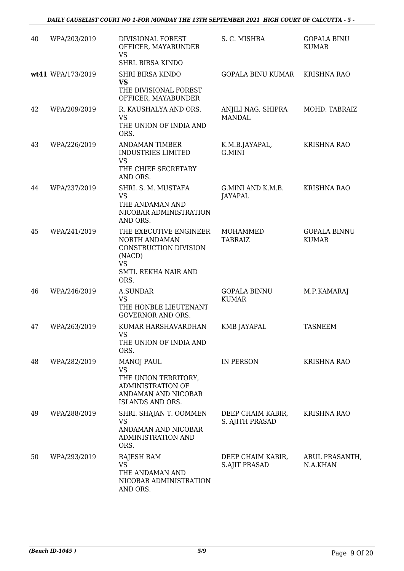| 40 | WPA/203/2019      | DIVISIONAL FOREST<br>OFFICER, MAYABUNDER<br><b>VS</b><br>SHRI. BIRSA KINDO                                                           | S. C. MISHRA                         | <b>GOPALA BINU</b><br><b>KUMAR</b>  |
|----|-------------------|--------------------------------------------------------------------------------------------------------------------------------------|--------------------------------------|-------------------------------------|
|    | wt41 WPA/173/2019 | <b>SHRI BIRSA KINDO</b><br><b>VS</b><br>THE DIVISIONAL FOREST<br>OFFICER, MAYABUNDER                                                 | <b>GOPALA BINU KUMAR</b>             | <b>KRISHNA RAO</b>                  |
| 42 | WPA/209/2019      | R. KAUSHALYA AND ORS.<br><b>VS</b><br>THE UNION OF INDIA AND<br>ORS.                                                                 | ANJILI NAG, SHIPRA<br><b>MANDAL</b>  | MOHD. TABRAIZ                       |
| 43 | WPA/226/2019      | <b>ANDAMAN TIMBER</b><br><b>INDUSTRIES LIMITED</b><br><b>VS</b><br>THE CHIEF SECRETARY<br>AND ORS.                                   | K.M.B.JAYAPAL,<br>G.MINI             | <b>KRISHNA RAO</b>                  |
| 44 | WPA/237/2019      | SHRI. S. M. MUSTAFA<br><b>VS</b><br>THE ANDAMAN AND<br>NICOBAR ADMINISTRATION<br>AND ORS.                                            | G.MINI AND K.M.B.<br><b>JAYAPAL</b>  | <b>KRISHNA RAO</b>                  |
| 45 | WPA/241/2019      | THE EXECUTIVE ENGINEER<br>NORTH ANDAMAN<br>CONSTRUCTION DIVISION<br>(NACD)<br><b>VS</b><br>SMTI. REKHA NAIR AND<br>ORS.              | MOHAMMED<br><b>TABRAIZ</b>           | <b>GOPALA BINNU</b><br><b>KUMAR</b> |
| 46 | WPA/246/2019      | A.SUNDAR<br><b>VS</b><br>THE HONBLE LIEUTENANT<br><b>GOVERNOR AND ORS.</b>                                                           | <b>GOPALA BINNU</b><br><b>KUMAR</b>  | M.P.KAMARAJ                         |
| 47 | WPA/263/2019      | KUMAR HARSHAVARDHAN<br><b>VS</b><br>THE UNION OF INDIA AND<br>ORS.                                                                   | <b>KMB JAYAPAL</b>                   | <b>TASNEEM</b>                      |
| 48 | WPA/282/2019      | <b>MANOJ PAUL</b><br><b>VS</b><br>THE UNION TERRITORY,<br><b>ADMINISTRATION OF</b><br>ANDAMAN AND NICOBAR<br><b>ISLANDS AND ORS.</b> | IN PERSON                            | <b>KRISHNA RAO</b>                  |
| 49 | WPA/288/2019      | SHRI. SHAJAN T. OOMMEN<br>VS<br>ANDAMAN AND NICOBAR<br>ADMINISTRATION AND<br>ORS.                                                    | DEEP CHAIM KABIR,<br>S. AJITH PRASAD | KRISHNA RAO                         |
| 50 | WPA/293/2019      | <b>RAJESH RAM</b><br><b>VS</b><br>THE ANDAMAN AND<br>NICOBAR ADMINISTRATION<br>AND ORS.                                              | DEEP CHAIM KABIR,<br>S.AJIT PRASAD   | ARUL PRASANTH,<br>N.A.KHAN          |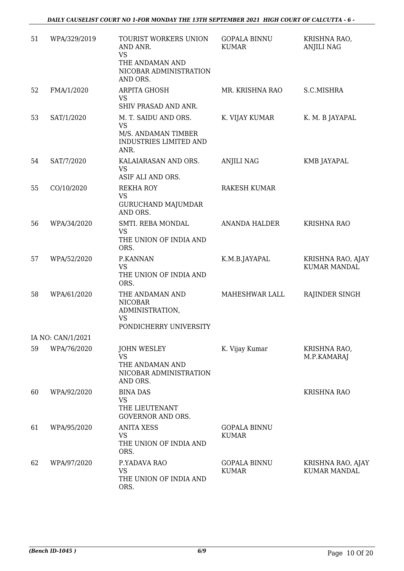*DAILY CAUSELIST COURT NO 1-FOR MONDAY THE 13TH SEPTEMBER 2021 HIGH COURT OF CALCUTTA - 6 -* 

| 51 | WPA/329/2019      | TOURIST WORKERS UNION<br>AND ANR.<br><b>VS</b><br>THE ANDAMAN AND<br>NICOBAR ADMINISTRATION<br>AND ORS. | <b>GOPALA BINNU</b><br><b>KUMAR</b> | KRISHNA RAO,<br><b>ANJILI NAG</b>        |
|----|-------------------|---------------------------------------------------------------------------------------------------------|-------------------------------------|------------------------------------------|
| 52 | FMA/1/2020        | ARPITA GHOSH<br><b>VS</b><br>SHIV PRASAD AND ANR.                                                       | MR. KRISHNA RAO                     | S.C.MISHRA                               |
| 53 | SAT/1/2020        | M. T. SAIDU AND ORS.<br><b>VS</b><br>M/S. ANDAMAN TIMBER<br><b>INDUSTRIES LIMITED AND</b><br>ANR.       | K. VIJAY KUMAR                      | K. M. B JAYAPAL                          |
| 54 | SAT/7/2020        | KALAIARASAN AND ORS.<br><b>VS</b><br>ASIF ALI AND ORS.                                                  | ANJILI NAG                          | KMB JAYAPAL                              |
| 55 | CO/10/2020        | <b>REKHA ROY</b><br><b>VS</b><br><b>GURUCHAND MAJUMDAR</b><br>AND ORS.                                  | <b>RAKESH KUMAR</b>                 |                                          |
| 56 | WPA/34/2020       | SMTI. REBA MONDAL<br><b>VS</b><br>THE UNION OF INDIA AND<br>ORS.                                        | <b>ANANDA HALDER</b>                | <b>KRISHNA RAO</b>                       |
| 57 | WPA/52/2020       | P.KANNAN<br><b>VS</b><br>THE UNION OF INDIA AND<br>ORS.                                                 | K.M.B.JAYAPAL                       | KRISHNA RAO, AJAY<br><b>KUMAR MANDAL</b> |
| 58 | WPA/61/2020       | THE ANDAMAN AND<br><b>NICOBAR</b><br>ADMINISTRATION,<br><b>VS</b><br>PONDICHERRY UNIVERSITY             | MAHESHWAR LALL                      | RAJINDER SINGH                           |
|    | IA NO: CAN/1/2021 |                                                                                                         |                                     |                                          |
| 59 | WPA/76/2020       | <b>JOHN WESLEY</b><br><b>VS</b><br>THE ANDAMAN AND<br>NICOBAR ADMINISTRATION<br>AND ORS.                | K. Vijay Kumar                      | KRISHNA RAO,<br>M.P.KAMARAJ              |
| 60 | WPA/92/2020       | <b>BINA DAS</b><br><b>VS</b><br>THE LIEUTENANT<br><b>GOVERNOR AND ORS.</b>                              |                                     | <b>KRISHNA RAO</b>                       |
| 61 | WPA/95/2020       | <b>ANITA XESS</b><br>VS<br>THE UNION OF INDIA AND<br>ORS.                                               | <b>GOPALA BINNU</b><br><b>KUMAR</b> |                                          |
| 62 | WPA/97/2020       | P.YADAVA RAO<br><b>VS</b><br>THE UNION OF INDIA AND<br>ORS.                                             | <b>GOPALA BINNU</b><br><b>KUMAR</b> | KRISHNA RAO, AJAY<br><b>KUMAR MANDAL</b> |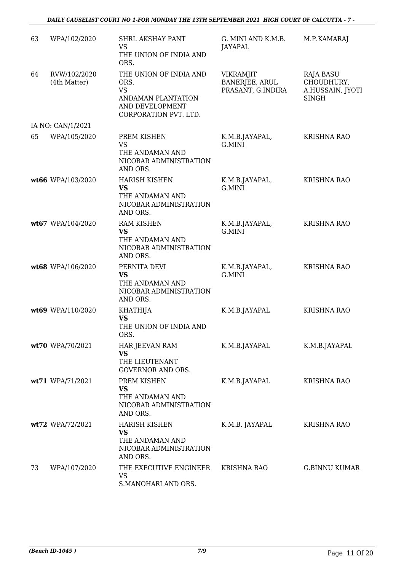| 63 | WPA/102/2020                 | SHRI. AKSHAY PANT<br><b>VS</b><br>THE UNION OF INDIA AND<br>ORS.                                              | G. MINI AND K.M.B.<br>JAYAPAL                           | M.P.KAMARAJ                                                        |
|----|------------------------------|---------------------------------------------------------------------------------------------------------------|---------------------------------------------------------|--------------------------------------------------------------------|
| 64 | RVW/102/2020<br>(4th Matter) | THE UNION OF INDIA AND<br>ORS.<br><b>VS</b><br>ANDAMAN PLANTATION<br>AND DEVELOPMENT<br>CORPORATION PVT. LTD. | <b>VIKRAMJIT</b><br>BANERJEE, ARUL<br>PRASANT, G.INDIRA | <b>RAJA BASU</b><br>CHOUDHURY,<br>A.HUSSAIN, JYOTI<br><b>SINGH</b> |
|    | IA NO: CAN/1/2021            |                                                                                                               |                                                         |                                                                    |
| 65 | WPA/105/2020                 | PREM KISHEN<br><b>VS</b><br>THE ANDAMAN AND<br>NICOBAR ADMINISTRATION<br>AND ORS.                             | K.M.B.JAYAPAL,<br>G.MINI                                | <b>KRISHNA RAO</b>                                                 |
|    | wt66 WPA/103/2020            | <b>HARISH KISHEN</b><br><b>VS</b><br>THE ANDAMAN AND<br>NICOBAR ADMINISTRATION<br>AND ORS.                    | K.M.B.JAYAPAL,<br>G.MINI                                | <b>KRISHNA RAO</b>                                                 |
|    | wt67 WPA/104/2020            | <b>RAM KISHEN</b><br><b>VS</b><br>THE ANDAMAN AND<br>NICOBAR ADMINISTRATION<br>AND ORS.                       | K.M.B.JAYAPAL,<br>G.MINI                                | <b>KRISHNA RAO</b>                                                 |
|    | wt68 WPA/106/2020            | PERNITA DEVI<br><b>VS</b><br>THE ANDAMAN AND<br>NICOBAR ADMINISTRATION<br>AND ORS.                            | K.M.B.JAYAPAL,<br>G.MINI                                | <b>KRISHNA RAO</b>                                                 |
|    | wt69 WPA/110/2020            | <b>KHATHIJA</b><br><b>VS</b><br>THE UNION OF INDIA AND<br>ORS.                                                | K.M.B.JAYAPAL                                           | <b>KRISHNA RAO</b>                                                 |
|    | wt70 WPA/70/2021             | <b>HAR JEEVAN RAM</b><br><b>VS</b><br>THE LIEUTENANT<br><b>GOVERNOR AND ORS.</b>                              | K.M.B.JAYAPAL                                           | K.M.B.JAYAPAL                                                      |
|    | wt71 WPA/71/2021             | PREM KISHEN<br><b>VS</b><br>THE ANDAMAN AND<br>NICOBAR ADMINISTRATION<br>AND ORS.                             | K.M.B.JAYAPAL                                           | <b>KRISHNA RAO</b>                                                 |
|    | wt72 WPA/72/2021             | <b>HARISH KISHEN</b><br>VS<br>THE ANDAMAN AND<br>NICOBAR ADMINISTRATION<br>AND ORS.                           | K.M.B. JAYAPAL                                          | <b>KRISHNA RAO</b>                                                 |
| 73 | WPA/107/2020                 | THE EXECUTIVE ENGINEER<br><b>VS</b><br>S.MANOHARI AND ORS.                                                    | <b>KRISHNA RAO</b>                                      | <b>G.BINNU KUMAR</b>                                               |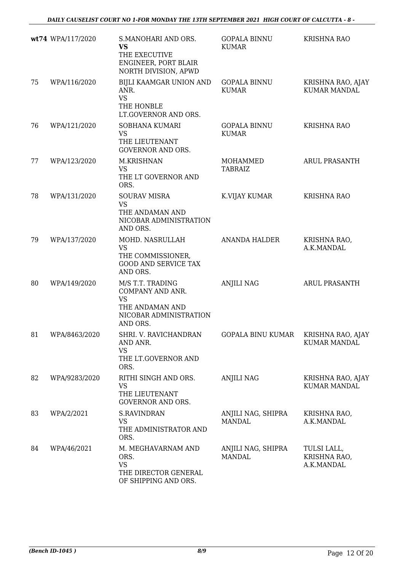|    | wt74 WPA/117/2020 | S.MANOHARI AND ORS.<br><b>VS</b><br>THE EXECUTIVE<br>ENGINEER, PORT BLAIR<br>NORTH DIVISION, APWD          | <b>GOPALA BINNU</b><br><b>KUMAR</b> | <b>KRISHNA RAO</b>                        |
|----|-------------------|------------------------------------------------------------------------------------------------------------|-------------------------------------|-------------------------------------------|
| 75 | WPA/116/2020      | BIJLI KAAMGAR UNION AND<br>ANR.<br><b>VS</b><br>THE HONBLE<br>LT.GOVERNOR AND ORS.                         | <b>GOPALA BINNU</b><br><b>KUMAR</b> | KRISHNA RAO, AJAY<br><b>KUMAR MANDAL</b>  |
| 76 | WPA/121/2020      | SOBHANA KUMARI<br><b>VS</b><br>THE LIEUTENANT<br><b>GOVERNOR AND ORS.</b>                                  | <b>GOPALA BINNU</b><br><b>KUMAR</b> | <b>KRISHNA RAO</b>                        |
| 77 | WPA/123/2020      | M.KRISHNAN<br><b>VS</b><br>THE LT GOVERNOR AND<br>ORS.                                                     | MOHAMMED<br><b>TABRAIZ</b>          | <b>ARUL PRASANTH</b>                      |
| 78 | WPA/131/2020      | <b>SOURAV MISRA</b><br><b>VS</b><br>THE ANDAMAN AND<br>NICOBAR ADMINISTRATION<br>AND ORS.                  | K.VIJAY KUMAR                       | <b>KRISHNA RAO</b>                        |
| 79 | WPA/137/2020      | MOHD. NASRULLAH<br><b>VS</b><br>THE COMMISSIONER,<br><b>GOOD AND SERVICE TAX</b><br>AND ORS.               | <b>ANANDA HALDER</b>                | KRISHNA RAO,<br>A.K.MANDAL                |
| 80 | WPA/149/2020      | M/S T.T. TRADING<br>COMPANY AND ANR.<br><b>VS</b><br>THE ANDAMAN AND<br>NICOBAR ADMINISTRATION<br>AND ORS. | <b>ANJILI NAG</b>                   | <b>ARUL PRASANTH</b>                      |
| 81 | WPA/8463/2020     | SHRI. V. RAVICHANDRAN<br>AND ANR.<br><b>VS</b><br>THE LT.GOVERNOR AND<br>ORS.                              | GOPALA BINU KUMAR KRISHNA RAO, AJAY | <b>KUMAR MANDAL</b>                       |
| 82 | WPA/9283/2020     | RITHI SINGH AND ORS.<br><b>VS</b><br>THE LIEUTENANT<br><b>GOVERNOR AND ORS.</b>                            | <b>ANJILI NAG</b>                   | KRISHNA RAO, AJAY<br><b>KUMAR MANDAL</b>  |
| 83 | WPA/2/2021        | <b>S.RAVINDRAN</b><br><b>VS</b><br>THE ADMINISTRATOR AND<br>ORS.                                           | ANJILI NAG, SHIPRA<br><b>MANDAL</b> | KRISHNA RAO,<br>A.K.MANDAL                |
| 84 | WPA/46/2021       | M. MEGHAVARNAM AND<br>ORS.<br><b>VS</b><br>THE DIRECTOR GENERAL<br>OF SHIPPING AND ORS.                    | ANJILI NAG, SHIPRA<br><b>MANDAL</b> | TULSI LALL,<br>KRISHNA RAO,<br>A.K.MANDAL |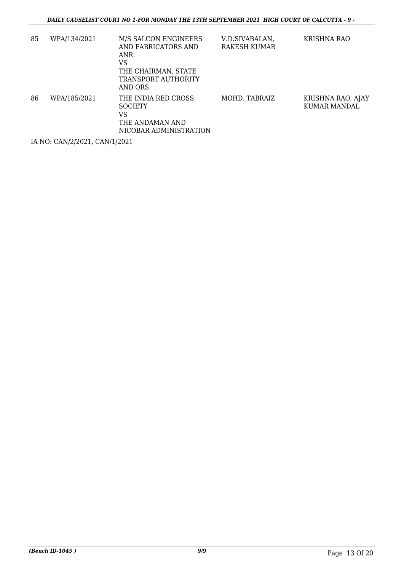| 85 | WPA/134/2021 | M/S SALCON ENGINEERS<br>AND FABRICATORS AND<br>ANR.<br>VS<br>THE CHAIRMAN. STATE<br>TRANSPORT AUTHORITY<br>AND ORS. | V.D.SIVABALAN,<br>RAKESH KUMAR | KRISHNA RAO                       |
|----|--------------|---------------------------------------------------------------------------------------------------------------------|--------------------------------|-----------------------------------|
| 86 | WPA/185/2021 | THE INDIA RED CROSS<br><b>SOCIETY</b><br>VS<br>THE ANDAMAN AND<br>NICOBAR ADMINISTRATION                            | MOHD. TABRAIZ                  | KRISHNA RAO, AJAY<br>KUMAR MANDAL |

IA NO: CAN/2/2021, CAN/1/2021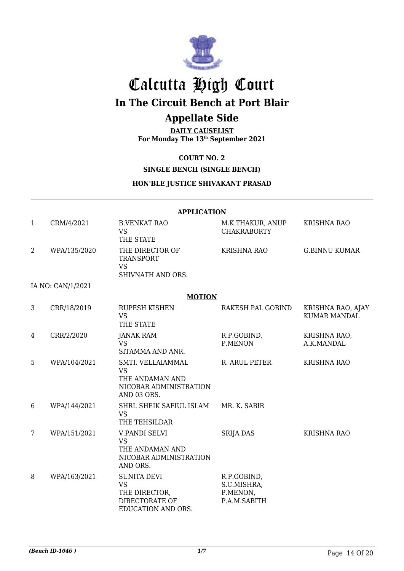

# Calcutta High Court **In The Circuit Bench at Port Blair**

# **Appellate Side**

**DAILY CAUSELIST For Monday The 13th September 2021**

### **COURT NO. 2**

**SINGLE BENCH (SINGLE BENCH)**

### **HON'BLE JUSTICE SHIVAKANT PRASAD**

|                | <b>APPLICATION</b> |                                                                                            |                                                        |                                          |  |  |
|----------------|--------------------|--------------------------------------------------------------------------------------------|--------------------------------------------------------|------------------------------------------|--|--|
| 1              | CRM/4/2021         | <b>B.VENKAT RAO</b><br><b>VS</b><br>THE STATE                                              | M.K.THAKUR, ANUP<br><b>CHAKRABORTY</b>                 | <b>KRISHNA RAO</b>                       |  |  |
| $\overline{2}$ | WPA/135/2020       | THE DIRECTOR OF<br><b>TRANSPORT</b><br><b>VS</b><br>SHIVNATH AND ORS.                      | <b>KRISHNA RAO</b>                                     | <b>G.BINNU KUMAR</b>                     |  |  |
|                | IA NO: CAN/1/2021  |                                                                                            |                                                        |                                          |  |  |
|                |                    | <b>MOTION</b>                                                                              |                                                        |                                          |  |  |
| 3              | CRR/18/2019        | <b>RUPESH KISHEN</b><br><b>VS</b><br>THE STATE                                             | RAKESH PAL GOBIND                                      | KRISHNA RAO, AJAY<br><b>KUMAR MANDAL</b> |  |  |
| 4              | CRR/2/2020         | <b>JANAK RAM</b><br><b>VS</b><br>SITAMMA AND ANR.                                          | R.P.GOBIND,<br>P.MENON                                 | KRISHNA RAO,<br>A.K.MANDAL               |  |  |
| 5              | WPA/104/2021       | SMTI. VELLAIAMMAL<br><b>VS</b><br>THE ANDAMAN AND<br>NICOBAR ADMINISTRATION<br>AND 03 ORS. | R. ARUL PETER                                          | KRISHNA RAO                              |  |  |
| 6              | WPA/144/2021       | SHRI. SHEIK SAFIUL ISLAM<br><b>VS</b><br>THE TEHSILDAR                                     | MR. K. SABIR                                           |                                          |  |  |
| 7              | WPA/151/2021       | <b>V.PANDI SELVI</b><br>VS<br>THE ANDAMAN AND<br>NICOBAR ADMINISTRATION<br>AND ORS.        | <b>SRIJA DAS</b>                                       | <b>KRISHNA RAO</b>                       |  |  |
| 8              | WPA/163/2021       | <b>SUNITA DEVI</b><br><b>VS</b><br>THE DIRECTOR,<br>DIRECTORATE OF<br>EDUCATION AND ORS.   | R.P.GOBIND,<br>S.C.MISHRA,<br>P.MENON,<br>P.A.M.SABITH |                                          |  |  |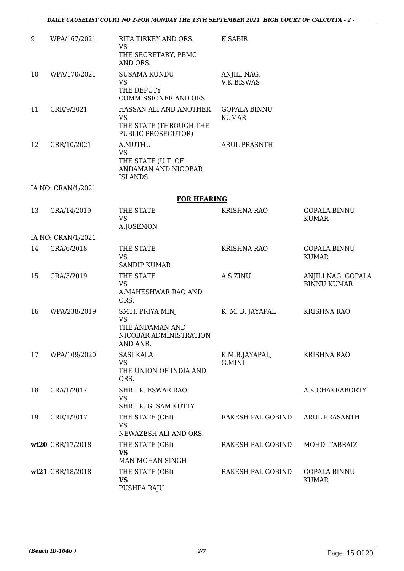| $9\,$ | WPA/167/2021       | RITA TIRKEY AND ORS.<br><b>VS</b><br>THE SECRETARY, PBMC<br>AND ORS.                   | K.SABIR                             |                                          |
|-------|--------------------|----------------------------------------------------------------------------------------|-------------------------------------|------------------------------------------|
| 10    | WPA/170/2021       | <b>SUSAMA KUNDU</b><br><b>VS</b><br>THE DEPUTY<br>COMMISSIONER AND ORS.                | ANJILI NAG,<br>V.K.BISWAS           |                                          |
| 11    | CRR/9/2021         | HASSAN ALI AND ANOTHER<br><b>VS</b><br>THE STATE (THROUGH THE<br>PUBLIC PROSECUTOR)    | <b>GOPALA BINNU</b><br><b>KUMAR</b> |                                          |
| 12    | CRR/10/2021        | A.MUTHU<br><b>VS</b><br>THE STATE (U.T. OF<br>ANDAMAN AND NICOBAR<br><b>ISLANDS</b>    | <b>ARUL PRASNTH</b>                 |                                          |
|       | IA NO: CRAN/1/2021 |                                                                                        |                                     |                                          |
|       |                    | <b>FOR HEARING</b>                                                                     |                                     |                                          |
| 13    | CRA/14/2019        | THE STATE<br><b>VS</b><br>A.JOSEMON                                                    | <b>KRISHNA RAO</b>                  | <b>GOPALA BINNU</b><br><b>KUMAR</b>      |
|       | IA NO: CRAN/1/2021 |                                                                                        |                                     |                                          |
| 14    | CRA/6/2018         | THE STATE<br><b>VS</b><br><b>SANDIP KUMAR</b>                                          | <b>KRISHNA RAO</b>                  | <b>GOPALA BINNU</b><br><b>KUMAR</b>      |
| 15    | CRA/3/2019         | THE STATE<br><b>VS</b><br>A.MAHESHWAR RAO AND<br>ORS.                                  | A.S.ZINU                            | ANJILI NAG, GOPALA<br><b>BINNU KUMAR</b> |
| 16    | WPA/238/2019       | SMTI. PRIYA MINJ<br><b>VS</b><br>THE ANDAMAN AND<br>NICOBAR ADMINISTRATION<br>AND ANR. | K. M. B. JAYAPAL                    | <b>KRISHNA RAO</b>                       |
| 17    | WPA/109/2020       | <b>SASI KALA</b><br><b>VS</b><br>THE UNION OF INDIA AND<br>ORS.                        | K.M.B.JAYAPAL,<br>G.MINI            | <b>KRISHNA RAO</b>                       |
| 18    | CRA/1/2017         | SHRI. K. ESWAR RAO<br><b>VS</b><br>SHRI. K. G. SAM KUTTY                               |                                     | A.K.CHAKRABORTY                          |
| 19    | CRR/1/2017         | THE STATE (CBI)<br><b>VS</b><br>NEWAZESH ALI AND ORS.                                  | RAKESH PAL GOBIND                   | ARUL PRASANTH                            |
|       | wt20 CRR/17/2018   | THE STATE (CBI)<br><b>VS</b><br>MAN MOHAN SINGH                                        | RAKESH PAL GOBIND                   | MOHD. TABRAIZ                            |
|       | wt21 CRR/18/2018   | THE STATE (CBI)<br>VS<br>PUSHPA RAJU                                                   | RAKESH PAL GOBIND                   | <b>GOPALA BINNU</b><br><b>KUMAR</b>      |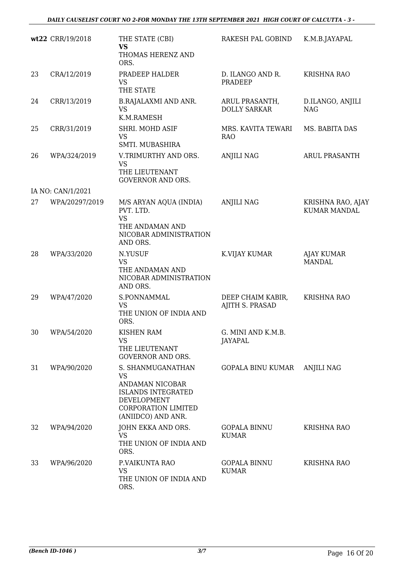|    | wt22 CRR/19/2018  | THE STATE (CBI)<br><b>VS</b><br>THOMAS HERENZ AND<br>ORS.                                                                                  | RAKESH PAL GOBIND                     | K.M.B.JAYAPAL                            |
|----|-------------------|--------------------------------------------------------------------------------------------------------------------------------------------|---------------------------------------|------------------------------------------|
| 23 | CRA/12/2019       | PRADEEP HALDER<br><b>VS</b><br>THE STATE                                                                                                   | D. ILANGO AND R.<br>PRADEEP           | <b>KRISHNA RAO</b>                       |
| 24 | CRR/13/2019       | <b>B.RAJALAXMI AND ANR.</b><br><b>VS</b><br>K.M.RAMESH                                                                                     | ARUL PRASANTH,<br><b>DOLLY SARKAR</b> | D.ILANGO, ANJILI<br><b>NAG</b>           |
| 25 | CRR/31/2019       | SHRI. MOHD ASIF<br><b>VS</b><br>SMTI. MUBASHIRA                                                                                            | MRS. KAVITA TEWARI<br><b>RAO</b>      | MS. BABITA DAS                           |
| 26 | WPA/324/2019      | V.TRIMURTHY AND ORS.<br><b>VS</b><br>THE LIEUTENANT<br><b>GOVERNOR AND ORS.</b>                                                            | <b>ANJILI NAG</b>                     | ARUL PRASANTH                            |
|    | IA NO: CAN/1/2021 |                                                                                                                                            |                                       |                                          |
| 27 | WPA/20297/2019    | M/S ARYAN AQUA (INDIA)<br>PVT. LTD.<br><b>VS</b><br>THE ANDAMAN AND<br>NICOBAR ADMINISTRATION<br>AND ORS.                                  | <b>ANJILI NAG</b>                     | KRISHNA RAO, AJAY<br><b>KUMAR MANDAL</b> |
| 28 | WPA/33/2020       | N.YUSUF<br><b>VS</b><br>THE ANDAMAN AND<br>NICOBAR ADMINISTRATION<br>AND ORS.                                                              | K.VIJAY KUMAR                         | <b>AJAY KUMAR</b><br><b>MANDAL</b>       |
| 29 | WPA/47/2020       | S.PONNAMMAL<br><b>VS</b><br>THE UNION OF INDIA AND<br>ORS.                                                                                 | DEEP CHAIM KABIR,<br>AJITH S. PRASAD  | <b>KRISHNA RAO</b>                       |
| 30 | WPA/54/2020       | KISHEN RAM<br>VS<br>THE LIEUTENANT<br><b>GOVERNOR AND ORS.</b>                                                                             | G. MINI AND K.M.B.<br>JAYAPAL         |                                          |
| 31 | WPA/90/2020       | S. SHANMUGANATHAN<br><b>VS</b><br>ANDAMAN NICOBAR<br><b>ISLANDS INTEGRATED</b><br>DEVELOPMENT<br>CORPORATION LIMITED<br>(ANIIDCO) AND ANR. | GOPALA BINU KUMAR                     | <b>ANJILI NAG</b>                        |
| 32 | WPA/94/2020       | JOHN EKKA AND ORS.<br><b>VS</b><br>THE UNION OF INDIA AND<br>ORS.                                                                          | <b>GOPALA BINNU</b><br><b>KUMAR</b>   | <b>KRISHNA RAO</b>                       |
| 33 | WPA/96/2020       | P.VAIKUNTA RAO<br>VS<br>THE UNION OF INDIA AND<br>ORS.                                                                                     | <b>GOPALA BINNU</b><br><b>KUMAR</b>   | <b>KRISHNA RAO</b>                       |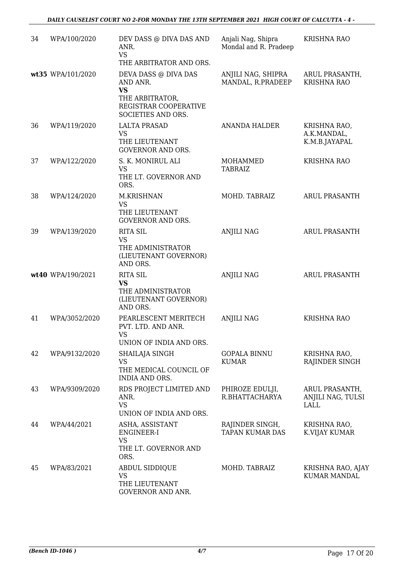| 34 | WPA/100/2020      | DEV DASS @ DIVA DAS AND<br>ANR.<br><b>VS</b><br>THE ARBITRATOR AND ORS.                                         | Anjali Nag, Shipra<br>Mondal and R. Pradeep | <b>KRISHNA RAO</b>                                 |
|----|-------------------|-----------------------------------------------------------------------------------------------------------------|---------------------------------------------|----------------------------------------------------|
|    | wt35 WPA/101/2020 | DEVA DASS @ DIVA DAS<br>AND ANR.<br><b>VS</b><br>THE ARBITRATOR,<br>REGISTRAR COOPERATIVE<br>SOCIETIES AND ORS. | ANJILI NAG, SHIPRA<br>MANDAL, R.PRADEEP     | ARUL PRASANTH,<br><b>KRISHNA RAO</b>               |
| 36 | WPA/119/2020      | <b>LALTA PRASAD</b><br><b>VS</b><br>THE LIEUTENANT<br><b>GOVERNOR AND ORS.</b>                                  | <b>ANANDA HALDER</b>                        | KRISHNA RAO,<br>A.K.MANDAL,<br>K.M.B.JAYAPAL       |
| 37 | WPA/122/2020      | S. K. MONIRUL ALI<br><b>VS</b><br>THE LT. GOVERNOR AND<br>ORS.                                                  | MOHAMMED<br><b>TABRAIZ</b>                  | <b>KRISHNA RAO</b>                                 |
| 38 | WPA/124/2020      | M.KRISHNAN<br><b>VS</b><br>THE LIEUTENANT<br><b>GOVERNOR AND ORS.</b>                                           | MOHD. TABRAIZ                               | <b>ARUL PRASANTH</b>                               |
| 39 | WPA/139/2020      | <b>RITA SIL</b><br><b>VS</b><br>THE ADMINISTRATOR<br>(LIEUTENANT GOVERNOR)<br>AND ORS.                          | <b>ANJILI NAG</b>                           | <b>ARUL PRASANTH</b>                               |
|    | wt40 WPA/190/2021 | <b>RITA SIL</b><br><b>VS</b><br>THE ADMINISTRATOR<br>(LIEUTENANT GOVERNOR)<br>AND ORS.                          | <b>ANJILI NAG</b>                           | <b>ARUL PRASANTH</b>                               |
| 41 | WPA/3052/2020     | PEARLESCENT MERITECH<br>PVT. LTD. AND ANR.<br><b>VS</b><br>UNION OF INDIA AND ORS.                              | <b>ANJILI NAG</b>                           | <b>KRISHNA RAO</b>                                 |
| 42 | WPA/9132/2020     | SHAILAJA SINGH<br>VS<br>THE MEDICAL COUNCIL OF<br><b>INDIA AND ORS.</b>                                         | <b>GOPALA BINNU</b><br><b>KUMAR</b>         | KRISHNA RAO,<br>RAJINDER SINGH                     |
| 43 | WPA/9309/2020     | RDS PROJECT LIMITED AND<br>ANR.<br><b>VS</b><br>UNION OF INDIA AND ORS.                                         | PHIROZE EDULJI,<br>R.BHATTACHARYA           | ARUL PRASANTH,<br>ANJILI NAG, TULSI<br><b>LALL</b> |
| 44 | WPA/44/2021       | ASHA, ASSISTANT<br>ENGINEER-I<br><b>VS</b><br>THE LT. GOVERNOR AND<br>ORS.                                      | RAJINDER SINGH,<br><b>TAPAN KUMAR DAS</b>   | KRISHNA RAO,<br>K.VIJAY KUMAR                      |
| 45 | WPA/83/2021       | <b>ABDUL SIDDIQUE</b><br>VS<br>THE LIEUTENANT<br>GOVERNOR AND ANR.                                              | MOHD. TABRAIZ                               | KRISHNA RAO, AJAY<br><b>KUMAR MANDAL</b>           |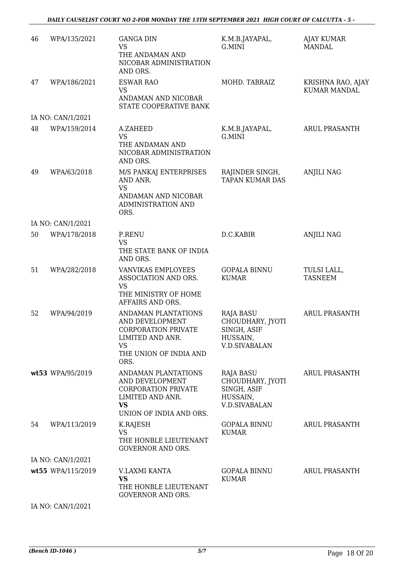### *DAILY CAUSELIST COURT NO 2-FOR MONDAY THE 13TH SEPTEMBER 2021 HIGH COURT OF CALCUTTA - 5 -*

| 46 | WPA/135/2021      | <b>GANGA DIN</b><br><b>VS</b><br>THE ANDAMAN AND<br>NICOBAR ADMINISTRATION<br>AND ORS.                                                  | K.M.B.JAYAPAL,<br>G.MINI                                                                | AJAY KUMAR<br><b>MANDAL</b>              |
|----|-------------------|-----------------------------------------------------------------------------------------------------------------------------------------|-----------------------------------------------------------------------------------------|------------------------------------------|
| 47 | WPA/186/2021      | <b>ESWAR RAO</b><br><b>VS</b><br>ANDAMAN AND NICOBAR<br>STATE COOPERATIVE BANK                                                          | MOHD. TABRAIZ                                                                           | KRISHNA RAO, AJAY<br><b>KUMAR MANDAL</b> |
|    | IA NO: CAN/1/2021 |                                                                                                                                         |                                                                                         |                                          |
| 48 | WPA/159/2014      | A.ZAHEED<br><b>VS</b><br>THE ANDAMAN AND<br>NICOBAR ADMINISTRATION<br>AND ORS.                                                          | K.M.B.JAYAPAL,<br>G.MINI                                                                | <b>ARUL PRASANTH</b>                     |
| 49 | WPA/63/2018       | M/S PANKAJ ENTERPRISES<br>AND ANR.<br><b>VS</b><br>ANDAMAN AND NICOBAR<br>ADMINISTRATION AND<br>ORS.                                    | RAJINDER SINGH,<br><b>TAPAN KUMAR DAS</b>                                               | <b>ANJILI NAG</b>                        |
|    | IA NO: CAN/1/2021 |                                                                                                                                         |                                                                                         |                                          |
| 50 | WPA/178/2018      | P.RENU<br><b>VS</b><br>THE STATE BANK OF INDIA<br>AND ORS.                                                                              | D.C.KABIR                                                                               | <b>ANJILI NAG</b>                        |
| 51 | WPA/282/2018      | VANVIKAS EMPLOYEES<br>ASSOCIATION AND ORS.<br><b>VS</b><br>THE MINISTRY OF HOME<br>AFFAIRS AND ORS.                                     | <b>GOPALA BINNU</b><br><b>KUMAR</b>                                                     | TULSI LALL,<br><b>TASNEEM</b>            |
| 52 | WPA/94/2019       | ANDAMAN PLANTATIONS<br>AND DEVELOPMENT<br><b>CORPORATION PRIVATE</b><br>LIMITED AND ANR.<br><b>VS</b><br>THE UNION OF INDIA AND<br>ORS. | <b>RAJA BASU</b><br>CHOUDHARY, JYOTI<br>SINGH, ASIF<br>HUSSAIN,<br><b>V.D.SIVABALAN</b> | <b>ARUL PRASANTH</b>                     |
|    | wt53 WPA/95/2019  | ANDAMAN PLANTATIONS<br>AND DEVELOPMENT<br><b>CORPORATION PRIVATE</b><br>LIMITED AND ANR.<br><b>VS</b><br>UNION OF INDIA AND ORS.        | RAJA BASU<br>CHOUDHARY, JYOTI<br>SINGH, ASIF<br>HUSSAIN,<br><b>V.D.SIVABALAN</b>        | <b>ARUL PRASANTH</b>                     |
| 54 | WPA/113/2019      | K.RAJESH<br><b>VS</b><br>THE HONBLE LIEUTENANT<br><b>GOVERNOR AND ORS.</b>                                                              | <b>GOPALA BINNU</b><br><b>KUMAR</b>                                                     | <b>ARUL PRASANTH</b>                     |
|    | IA NO: CAN/1/2021 |                                                                                                                                         |                                                                                         |                                          |
|    | wt55 WPA/115/2019 | V.LAXMI KANTA<br><b>VS</b><br>THE HONBLE LIEUTENANT<br><b>GOVERNOR AND ORS.</b>                                                         | <b>GOPALA BINNU</b><br><b>KUMAR</b>                                                     | <b>ARUL PRASANTH</b>                     |

IA NO: CAN/1/2021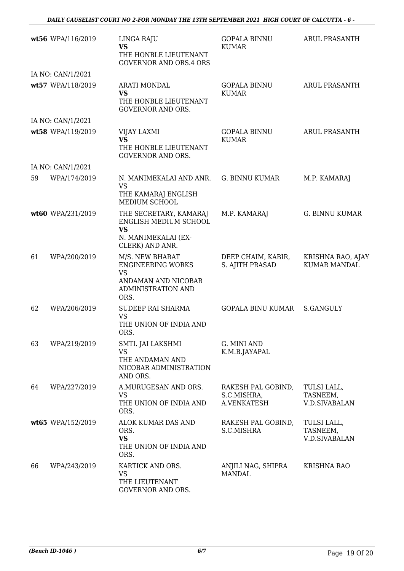|    | wt56 WPA/116/2019 | LINGA RAJU<br><b>VS</b><br>THE HONBLE LIEUTENANT<br><b>GOVERNOR AND ORS.4 ORS</b>                             | <b>GOPALA BINNU</b><br><b>KUMAR</b>              | ARUL PRASANTH                                   |
|----|-------------------|---------------------------------------------------------------------------------------------------------------|--------------------------------------------------|-------------------------------------------------|
|    | IA NO: CAN/1/2021 |                                                                                                               |                                                  |                                                 |
|    | wt57 WPA/118/2019 | <b>ARATI MONDAL</b><br><b>VS</b><br>THE HONBLE LIEUTENANT<br><b>GOVERNOR AND ORS.</b>                         | <b>GOPALA BINNU</b><br><b>KUMAR</b>              | <b>ARUL PRASANTH</b>                            |
|    | IA NO: CAN/1/2021 |                                                                                                               |                                                  |                                                 |
|    | wt58 WPA/119/2019 | VIJAY LAXMI<br><b>VS</b><br>THE HONBLE LIEUTENANT<br><b>GOVERNOR AND ORS.</b>                                 | <b>GOPALA BINNU</b><br><b>KUMAR</b>              | <b>ARUL PRASANTH</b>                            |
|    | IA NO: CAN/1/2021 |                                                                                                               |                                                  |                                                 |
| 59 | WPA/174/2019      | N. MANIMEKALAI AND ANR.<br><b>VS</b><br>THE KAMARAJ ENGLISH<br>MEDIUM SCHOOL                                  | <b>G. BINNU KUMAR</b>                            | M.P. KAMARAJ                                    |
|    | wt60 WPA/231/2019 | THE SECRETARY, KAMARAJ<br>ENGLISH MEDIUM SCHOOL<br><b>VS</b><br>N. MANIMEKALAI (EX-<br>CLERK) AND ANR.        | M.P. KAMARAJ                                     | <b>G. BINNU KUMAR</b>                           |
| 61 | WPA/200/2019      | M/S. NEW BHARAT<br><b>ENGINEERING WORKS</b><br><b>VS</b><br>ANDAMAN AND NICOBAR<br>ADMINISTRATION AND<br>ORS. | DEEP CHAIM, KABIR,<br>S. AJITH PRASAD            | KRISHNA RAO, AJAY<br><b>KUMAR MANDAL</b>        |
| 62 | WPA/206/2019      | SUDEEP RAI SHARMA<br><b>VS</b><br>THE UNION OF INDIA AND<br>ORS.                                              | <b>GOPALA BINU KUMAR</b>                         | <b>S.GANGULY</b>                                |
| 63 | WPA/219/2019      | SMTI. JAI LAKSHMI<br>VS<br>THE ANDAMAN AND<br>NICOBAR ADMINISTRATION<br>AND ORS.                              | G. MINI AND<br>K.M.B.JAYAPAL                     |                                                 |
| 64 | WPA/227/2019      | A.MURUGESAN AND ORS.<br><b>VS</b><br>THE UNION OF INDIA AND<br>ORS.                                           | RAKESH PAL GOBIND,<br>S.C.MISHRA,<br>A.VENKATESH | TULSI LALL,<br>TASNEEM,<br><b>V.D.SIVABALAN</b> |
|    | wt65 WPA/152/2019 | ALOK KUMAR DAS AND<br>ORS.<br><b>VS</b><br>THE UNION OF INDIA AND<br>ORS.                                     | RAKESH PAL GOBIND,<br>S.C.MISHRA                 | TULSI LALL,<br>TASNEEM,<br><b>V.D.SIVABALAN</b> |
| 66 | WPA/243/2019      | KARTICK AND ORS.<br>VS<br>THE LIEUTENANT<br>GOVERNOR AND ORS.                                                 | ANJILI NAG, SHIPRA<br><b>MANDAL</b>              | <b>KRISHNA RAO</b>                              |